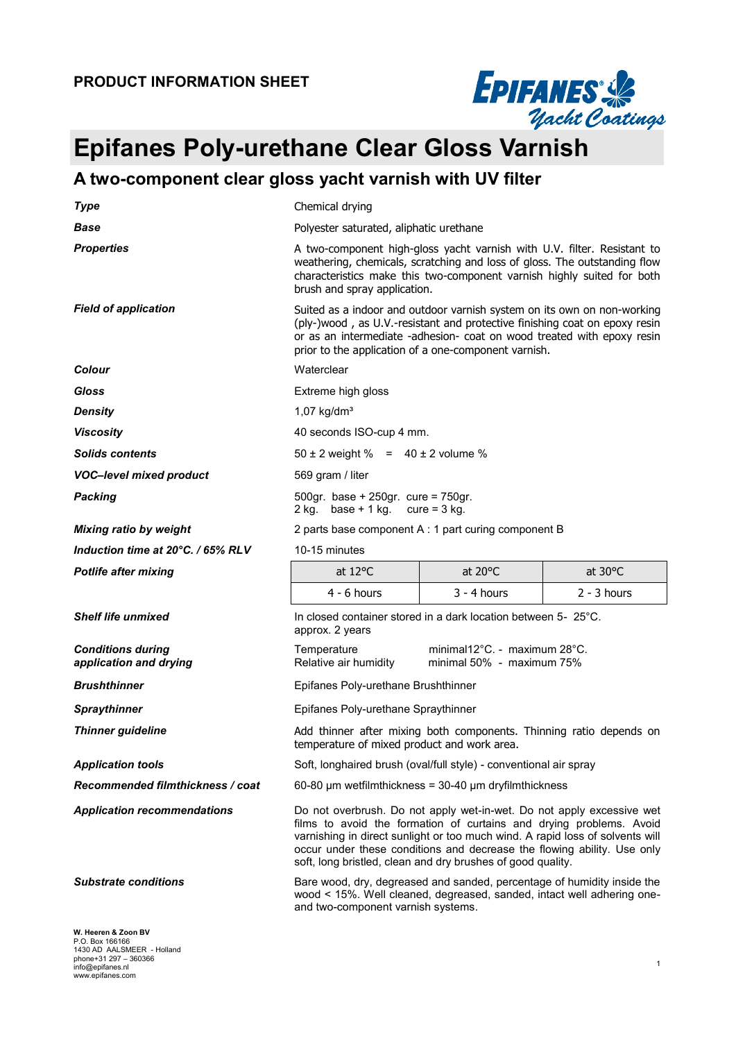

# **EPIFAMES**<br> *Epifanes Poly-urethane Clear Gloss Varnish*<br> *Epifanes Poly-urethane Clear Gloss Varnish*

### **A two-component clear gloss yacht varnish with UV filter**

| <b>Type</b>                                        | Chemical drying                                                                                                                                                                                                                                                                                                                                                         |                                                           |                   |  |
|----------------------------------------------------|-------------------------------------------------------------------------------------------------------------------------------------------------------------------------------------------------------------------------------------------------------------------------------------------------------------------------------------------------------------------------|-----------------------------------------------------------|-------------------|--|
| <b>Base</b>                                        | Polyester saturated, aliphatic urethane                                                                                                                                                                                                                                                                                                                                 |                                                           |                   |  |
| <b>Properties</b>                                  | A two-component high-gloss yacht varnish with U.V. filter. Resistant to<br>weathering, chemicals, scratching and loss of gloss. The outstanding flow<br>characteristics make this two-component varnish highly suited for both<br>brush and spray application.                                                                                                          |                                                           |                   |  |
| <b>Field of application</b>                        | Suited as a indoor and outdoor varnish system on its own on non-working<br>(ply-)wood, as U.V.-resistant and protective finishing coat on epoxy resin<br>or as an intermediate -adhesion- coat on wood treated with epoxy resin<br>prior to the application of a one-component varnish.                                                                                 |                                                           |                   |  |
| Colour                                             | Waterclear                                                                                                                                                                                                                                                                                                                                                              |                                                           |                   |  |
| <b>Gloss</b>                                       | Extreme high gloss                                                                                                                                                                                                                                                                                                                                                      |                                                           |                   |  |
| <b>Density</b>                                     | $1,07$ kg/dm <sup>3</sup>                                                                                                                                                                                                                                                                                                                                               |                                                           |                   |  |
| <b>Viscosity</b>                                   | 40 seconds ISO-cup 4 mm.                                                                                                                                                                                                                                                                                                                                                |                                                           |                   |  |
| <b>Solids contents</b>                             | $50 \pm 2$ weight % = 40 $\pm$ 2 volume %                                                                                                                                                                                                                                                                                                                               |                                                           |                   |  |
| <b>VOC-level mixed product</b>                     | 569 gram / liter                                                                                                                                                                                                                                                                                                                                                        |                                                           |                   |  |
| <b>Packing</b>                                     | 500gr. base + 250gr. cure = 750gr.<br>2 kg. base + 1 kg. cure = $3$ kg.                                                                                                                                                                                                                                                                                                 |                                                           |                   |  |
| <b>Mixing ratio by weight</b>                      | 2 parts base component A : 1 part curing component B                                                                                                                                                                                                                                                                                                                    |                                                           |                   |  |
| Induction time at 20°C. / 65% RLV                  | 10-15 minutes                                                                                                                                                                                                                                                                                                                                                           |                                                           |                   |  |
| <b>Potlife after mixing</b>                        | at $12^{\circ}$ C                                                                                                                                                                                                                                                                                                                                                       | at 20°C                                                   | at $30^{\circ}$ C |  |
|                                                    | $4 - 6$ hours                                                                                                                                                                                                                                                                                                                                                           | $3 - 4$ hours                                             | $2 - 3$ hours     |  |
|                                                    |                                                                                                                                                                                                                                                                                                                                                                         |                                                           |                   |  |
| <b>Shelf life unmixed</b>                          | In closed container stored in a dark location between 5- 25°C.<br>approx. 2 years                                                                                                                                                                                                                                                                                       |                                                           |                   |  |
| <b>Conditions during</b><br>application and drying | Temperature<br>Relative air humidity                                                                                                                                                                                                                                                                                                                                    | minimal12°C. - maximum 28°C.<br>minimal 50% - maximum 75% |                   |  |
| <b>Brushthinner</b>                                | Epifanes Poly-urethane Brushthinner                                                                                                                                                                                                                                                                                                                                     |                                                           |                   |  |
| <b>Spraythinner</b>                                | Epifanes Poly-urethane Spraythinner                                                                                                                                                                                                                                                                                                                                     |                                                           |                   |  |
| <b>Thinner guideline</b>                           | Add thinner after mixing both components. Thinning ratio depends on<br>temperature of mixed product and work area.                                                                                                                                                                                                                                                      |                                                           |                   |  |
| <b>Application tools</b>                           | Soft, longhaired brush (oval/full style) - conventional air spray                                                                                                                                                                                                                                                                                                       |                                                           |                   |  |
| Recommended filmthickness / coat                   | 60-80 $\mu$ m wetfilmthickness = 30-40 $\mu$ m dryfilmthickness                                                                                                                                                                                                                                                                                                         |                                                           |                   |  |
| <b>Application recommendations</b>                 | Do not overbrush. Do not apply wet-in-wet. Do not apply excessive wet<br>films to avoid the formation of curtains and drying problems. Avoid<br>varnishing in direct sunlight or too much wind. A rapid loss of solvents will<br>occur under these conditions and decrease the flowing ability. Use only<br>soft, long bristled, clean and dry brushes of good quality. |                                                           |                   |  |
| <b>Substrate conditions</b>                        | Bare wood, dry, degreased and sanded, percentage of humidity inside the<br>wood < 15%. Well cleaned, degreased, sanded, intact well adhering one-<br>and two-component varnish systems.                                                                                                                                                                                 |                                                           |                   |  |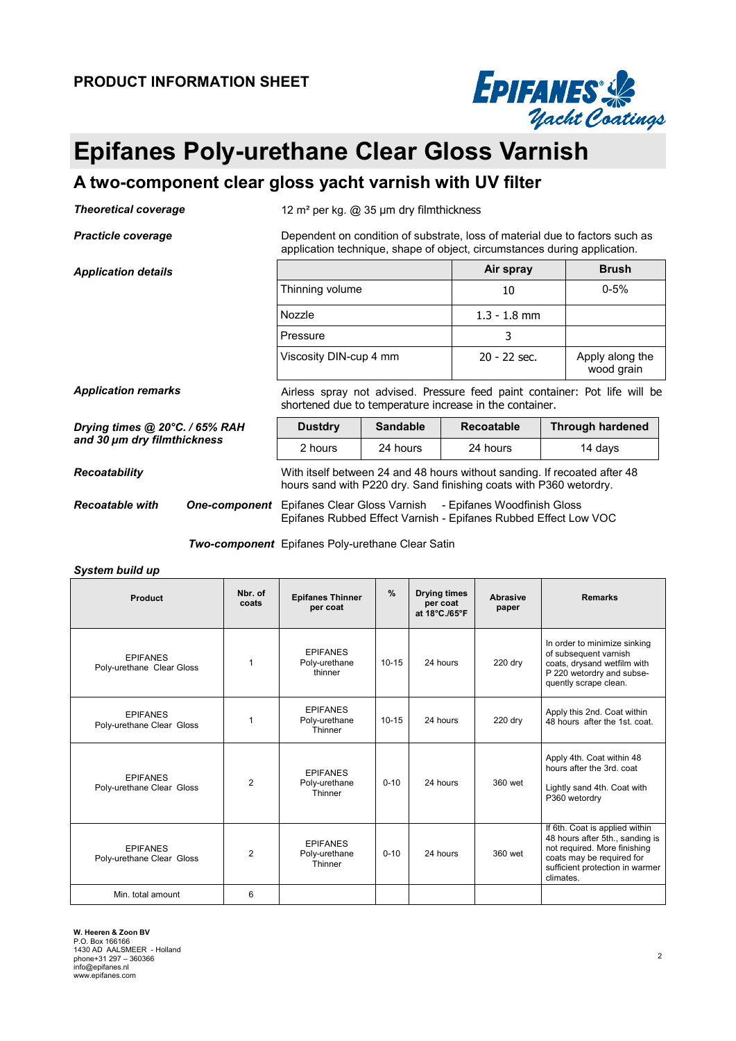

## **Epifanes Poly-urethane Clear Gloss Varnish**

#### **A two-component clear gloss yacht varnish with UV filter**

*Theoretical coverage* 12 m² per kg. @ 35 µm dry filmthickness

**Practicle coverage Dependent on condition of substrate, loss of material due to factors such as** 

*Application details* 

| application technique, shape of object, circumstances during application. |                |                               |  |  |
|---------------------------------------------------------------------------|----------------|-------------------------------|--|--|
|                                                                           | Air spray      | <b>Brush</b>                  |  |  |
| Thinning volume                                                           | 10             | $0 - 5%$                      |  |  |
| Nozzle                                                                    | $1.3 - 1.8$ mm |                               |  |  |
| Pressure                                                                  |                |                               |  |  |
| Viscosity DIN-cup 4 mm                                                    | $20 - 22$ sec. | Apply along the<br>wood grain |  |  |

Application remarks **Airless spray not advised.** Pressure feed paint container: Pot life will be

*Drying times @ 20°C. / 65% RAH and 30 µm dry filmthickness*

| shortened due to temperature increase in the container. |                 |            |                         |  |
|---------------------------------------------------------|-----------------|------------|-------------------------|--|
| <b>Dustdry</b>                                          | <b>Sandable</b> | Recoatable | <b>Through hardened</b> |  |

*Recoatability* With itself between 24 and 48 hours without sanding. If recoated after 48 hours sand with P220 dry. Sand finishing coats with P360 wetordry. 2 hours 24 hours 24 hours 24 hours 24 days

**Recoatable with** One-component Epifanes Clear Gloss Varnish - Epifanes Woodfinish Gloss Epifanes Rubbed Effect Varnish - Epifanes Rubbed Effect Low VOC

*Two-component* Epifanes Poly-urethane Clear Satin

*System build up* 

| Product                                      | Nbr. of<br>coats | <b>Epifanes Thinner</b><br>per coat         | $\frac{9}{6}$ | <b>Drying times</b><br>per coat<br>at 18°C./65°F | Abrasive<br>paper | <b>Remarks</b>                                                                                                                                                                 |
|----------------------------------------------|------------------|---------------------------------------------|---------------|--------------------------------------------------|-------------------|--------------------------------------------------------------------------------------------------------------------------------------------------------------------------------|
| <b>EPIFANES</b><br>Poly-urethane Clear Gloss | 1                | <b>EPIFANES</b><br>Poly-urethane<br>thinner | $10 - 15$     | 24 hours                                         | 220 dry           | In order to minimize sinking<br>of subsequent varnish<br>coats, drysand wetfilm with<br>P 220 wetordry and subse-<br>quently scrape clean.                                     |
| <b>EPIFANES</b><br>Poly-urethane Clear Gloss | 1                | <b>EPIFANES</b><br>Poly-urethane<br>Thinner | $10 - 15$     | 24 hours                                         | 220 dry           | Apply this 2nd. Coat within<br>48 hours after the 1st. coat.                                                                                                                   |
| <b>EPIFANES</b><br>Poly-urethane Clear Gloss | 2                | <b>EPIFANES</b><br>Poly-urethane<br>Thinner | $0 - 10$      | 24 hours                                         | 360 wet           | Apply 4th. Coat within 48<br>hours after the 3rd, coat<br>Lightly sand 4th. Coat with<br>P360 wetordry                                                                         |
| <b>EPIFANES</b><br>Poly-urethane Clear Gloss | $\mathfrak{p}$   | <b>EPIFANES</b><br>Poly-urethane<br>Thinner | $0 - 10$      | 24 hours                                         | 360 wet           | If 6th. Coat is applied within<br>48 hours after 5th., sanding is<br>not required. More finishing<br>coats may be required for<br>sufficient protection in warmer<br>climates. |
| Min. total amount                            | 6                |                                             |               |                                                  |                   |                                                                                                                                                                                |

**W. Heeren & Zoon BV**  P.O. Box 166166 1430 AD AALSMEER - Holland phone+31 297 – 360366 info@epifanes.nl www.epifanes.com